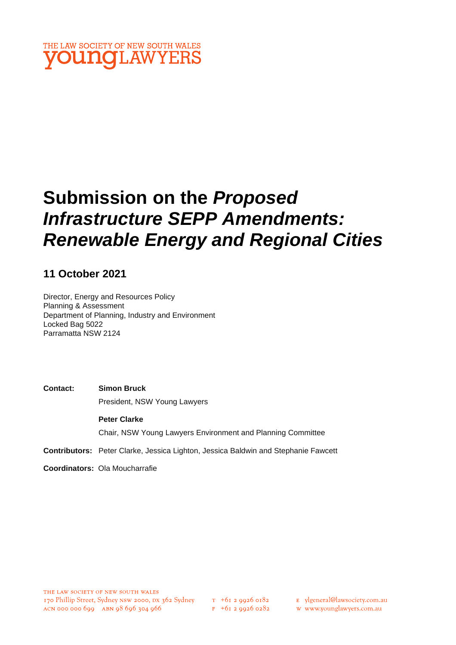

# **Submission on the** *Proposed Infrastructure SEPP Amendments: Renewable Energy and Regional Cities*

# **11 October 2021**

Director, Energy and Resources Policy Planning & Assessment Department of Planning, Industry and Environment Locked Bag 5022 Parramatta NSW 2124

**Contact: Simon Bruck** President, NSW Young Lawyers

**Peter Clarke** Chair, NSW Young Lawyers Environment and Planning Committee

**Contributors:** Peter Clarke, Jessica Lighton, Jessica Baldwin and Stephanie Fawcett

**Coordinators:** Ola Moucharrafie

- E ylgeneral@lawsociety.com.au
- w www.younglawyers.com.au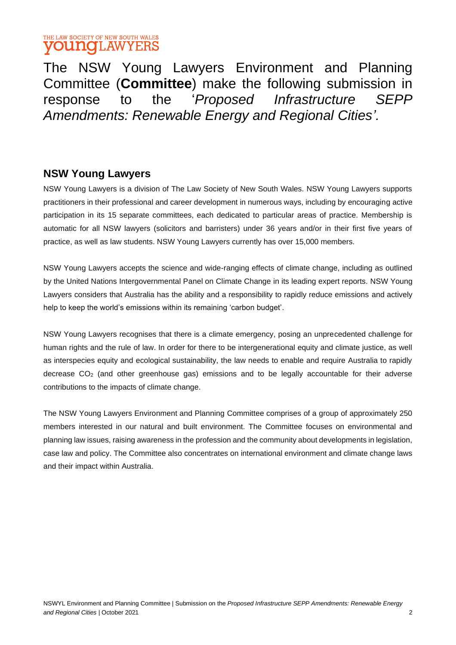### THE LAW SOCIETY OF NEW SOUTH WALES **OUNG**LAWYERS

The NSW Young Lawyers Environment and Planning Committee (**Committee**) make the following submission in response to the '*Proposed Infrastructure SEPP Amendments: Renewable Energy and Regional Cities'.*

### **NSW Young Lawyers**

NSW Young Lawyers is a division of The Law Society of New South Wales. NSW Young Lawyers supports practitioners in their professional and career development in numerous ways, including by encouraging active participation in its 15 separate committees, each dedicated to particular areas of practice. Membership is automatic for all NSW lawyers (solicitors and barristers) under 36 years and/or in their first five years of practice, as well as law students. NSW Young Lawyers currently has over 15,000 members.

NSW Young Lawyers accepts the science and wide-ranging effects of climate change, including as outlined by the United Nations Intergovernmental Panel on Climate Change in its leading expert reports. NSW Young Lawyers considers that Australia has the ability and a responsibility to rapidly reduce emissions and actively help to keep the world's emissions within its remaining 'carbon budget'.

NSW Young Lawyers recognises that there is a climate emergency, posing an unprecedented challenge for human rights and the rule of law. In order for there to be intergenerational equity and climate justice, as well as interspecies equity and ecological sustainability, the law needs to enable and require Australia to rapidly decrease  $CO<sub>2</sub>$  (and other greenhouse gas) emissions and to be legally accountable for their adverse contributions to the impacts of climate change.

The NSW Young Lawyers Environment and Planning Committee comprises of a group of approximately 250 members interested in our natural and built environment. The Committee focuses on environmental and planning law issues, raising awareness in the profession and the community about developments in legislation, case law and policy. The Committee also concentrates on international environment and climate change laws and their impact within Australia.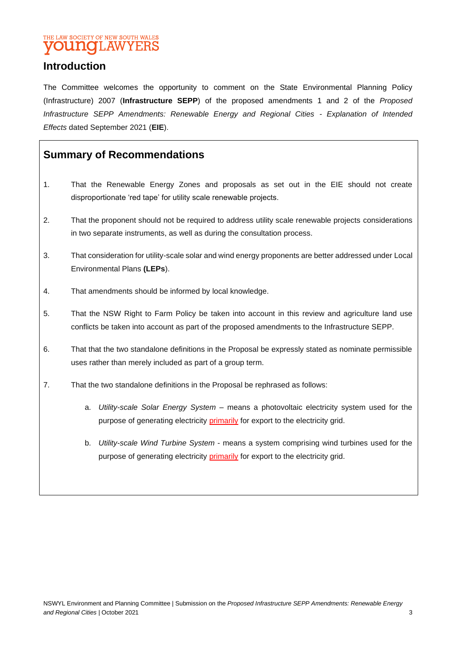### THE LAW SOCIETY OF NEW SOUTH WALES **YOUNGLAWYERS**

# **Introduction**

The Committee welcomes the opportunity to comment on the State Environmental Planning Policy (Infrastructure) 2007 (**Infrastructure SEPP**) of the proposed amendments 1 and 2 of the *Proposed Infrastructure SEPP Amendments: Renewable Energy and Regional Cities - Explanation of Intended Effects* dated September 2021 (**EIE**).

# **Summary of Recommendations**

- 1. That the Renewable Energy Zones and proposals as set out in the EIE should not create disproportionate 'red tape' for utility scale renewable projects.
- 2. That the proponent should not be required to address utility scale renewable projects considerations in two separate instruments, as well as during the consultation process.
- 3. That consideration for utility-scale solar and wind energy proponents are better addressed under Local Environmental Plans **(LEPs**).
- 4. That amendments should be informed by local knowledge.
- 5. That the NSW Right to Farm Policy be taken into account in this review and agriculture land use conflicts be taken into account as part of the proposed amendments to the Infrastructure SEPP.
- 6. That that the two standalone definitions in the Proposal be expressly stated as nominate permissible uses rather than merely included as part of a group term.
- 7. That the two standalone definitions in the Proposal be rephrased as follows:
	- a. *Utility-scale Solar Energy System –* means a photovoltaic electricity system used for the purpose of generating electricity *primarily* for export to the electricity grid.
	- b. *Utility-scale Wind Turbine System*  means a system comprising wind turbines used for the purpose of generating electricity *primarily* for export to the electricity grid.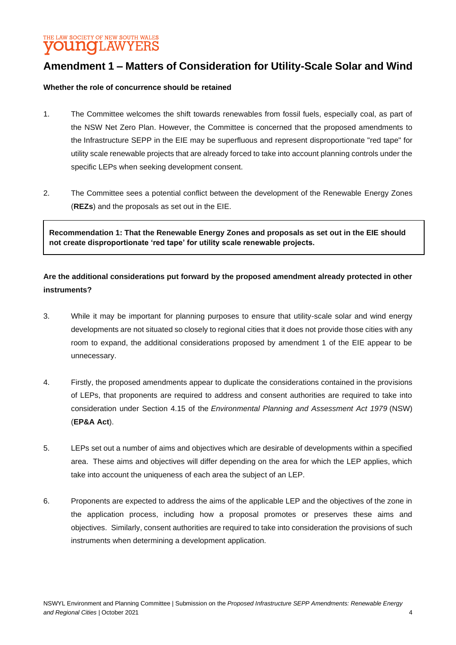THE LAW SOCIETY OF NEW SOUTH WALES **YOUNGLAWYERS** 

# **Amendment 1 – Matters of Consideration for Utility-Scale Solar and Wind**

#### **Whether the role of concurrence should be retained**

- 1. The Committee welcomes the shift towards renewables from fossil fuels, especially coal, as part of the NSW Net Zero Plan. However, the Committee is concerned that the proposed amendments to the Infrastructure SEPP in the EIE may be superfluous and represent disproportionate "red tape" for utility scale renewable projects that are already forced to take into account planning controls under the specific LEPs when seeking development consent.
- 2. The Committee sees a potential conflict between the development of the Renewable Energy Zones (**REZs**) and the proposals as set out in the EIE.

**Recommendation 1: That the Renewable Energy Zones and proposals as set out in the EIE should not create disproportionate 'red tape' for utility scale renewable projects.** 

### **Are the additional considerations put forward by the proposed amendment already protected in other instruments?**

- 3. While it may be important for planning purposes to ensure that utility-scale solar and wind energy developments are not situated so closely to regional cities that it does not provide those cities with any room to expand, the additional considerations proposed by amendment 1 of the EIE appear to be unnecessary.
- 4. Firstly, the proposed amendments appear to duplicate the considerations contained in the provisions of LEPs, that proponents are required to address and consent authorities are required to take into consideration under Section 4.15 of the *Environmental Planning and Assessment Act 1979* (NSW) (**EP&A Act**).
- 5. LEPs set out a number of aims and objectives which are desirable of developments within a specified area. These aims and objectives will differ depending on the area for which the LEP applies, which take into account the uniqueness of each area the subject of an LEP.
- 6. Proponents are expected to address the aims of the applicable LEP and the objectives of the zone in the application process, including how a proposal promotes or preserves these aims and objectives. Similarly, consent authorities are required to take into consideration the provisions of such instruments when determining a development application.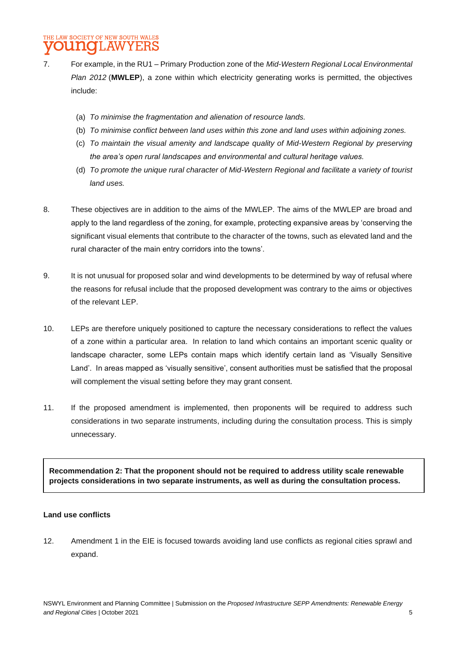- 7. For example, in the RU1 Primary Production zone of the *Mid-Western Regional Local Environmental Plan 2012* (**MWLEP**), a zone within which electricity generating works is permitted, the objectives include:
	- (a) *To minimise the fragmentation and alienation of resource lands.*
	- (b) *To minimise conflict between land uses within this zone and land uses within adjoining zones.*
	- (c) *To maintain the visual amenity and landscape quality of Mid-Western Regional by preserving the area's open rural landscapes and environmental and cultural heritage values.*
	- (d) *To promote the unique rural character of Mid-Western Regional and facilitate a variety of tourist land uses.*
- 8. These objectives are in addition to the aims of the MWLEP. The aims of the MWLEP are broad and apply to the land regardless of the zoning, for example, protecting expansive areas by 'conserving the significant visual elements that contribute to the character of the towns, such as elevated land and the rural character of the main entry corridors into the towns'.
- 9. It is not unusual for proposed solar and wind developments to be determined by way of refusal where the reasons for refusal include that the proposed development was contrary to the aims or objectives of the relevant LEP.
- 10. LEPs are therefore uniquely positioned to capture the necessary considerations to reflect the values of a zone within a particular area. In relation to land which contains an important scenic quality or landscape character, some LEPs contain maps which identify certain land as 'Visually Sensitive Land'. In areas mapped as 'visually sensitive', consent authorities must be satisfied that the proposal will complement the visual setting before they may grant consent.
- 11. If the proposed amendment is implemented, then proponents will be required to address such considerations in two separate instruments, including during the consultation process. This is simply unnecessary.

**Recommendation 2: That the proponent should not be required to address utility scale renewable projects considerations in two separate instruments, as well as during the consultation process.**

#### **Land use conflicts**

12. Amendment 1 in the EIE is focused towards avoiding land use conflicts as regional cities sprawl and expand.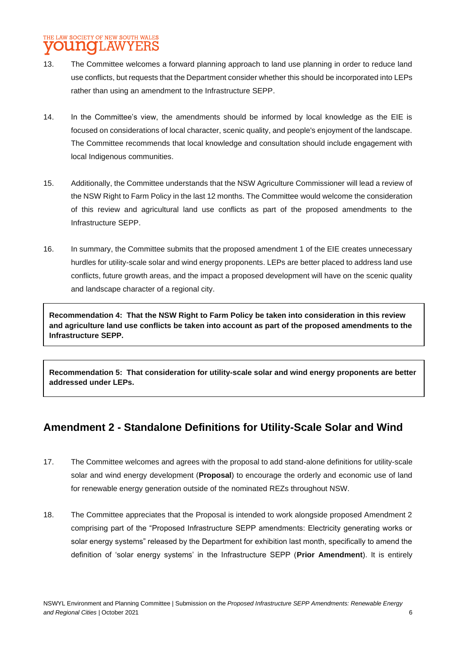### THE LAW SOCIETY OF NEW SOUTH WALES **OUNCLAWYERS**

- 13. The Committee welcomes a forward planning approach to land use planning in order to reduce land use conflicts, but requests that the Department consider whether this should be incorporated into LEPs rather than using an amendment to the Infrastructure SEPP.
- 14. In the Committee's view, the amendments should be informed by local knowledge as the EIE is focused on considerations of local character, scenic quality, and people's enjoyment of the landscape. The Committee recommends that local knowledge and consultation should include engagement with local Indigenous communities.
- 15. Additionally, the Committee understands that the NSW Agriculture Commissioner will lead a review of the NSW Right to Farm Policy in the last 12 months. The Committee would welcome the consideration of this review and agricultural land use conflicts as part of the proposed amendments to the Infrastructure SEPP.
- 16. In summary, the Committee submits that the proposed amendment 1 of the EIE creates unnecessary hurdles for utility-scale solar and wind energy proponents. LEPs are better placed to address land use conflicts, future growth areas, and the impact a proposed development will have on the scenic quality and landscape character of a regional city.

**Recommendation 4: That the NSW Right to Farm Policy be taken into consideration in this review and agriculture land use conflicts be taken into account as part of the proposed amendments to the Infrastructure SEPP.**

**Recommendation 5: That consideration for utility-scale solar and wind energy proponents are better addressed under LEPs.** 

# **Amendment 2 - Standalone Definitions for Utility-Scale Solar and Wind**

- 17. The Committee welcomes and agrees with the proposal to add stand-alone definitions for utility-scale solar and wind energy development (**Proposal**) to encourage the orderly and economic use of land for renewable energy generation outside of the nominated REZs throughout NSW.
- 18. The Committee appreciates that the Proposal is intended to work alongside proposed Amendment 2 comprising part of the "Proposed Infrastructure SEPP amendments: Electricity generating works or solar energy systems" released by the Department for exhibition last month, specifically to amend the definition of 'solar energy systems' in the Infrastructure SEPP (**Prior Amendment**). It is entirely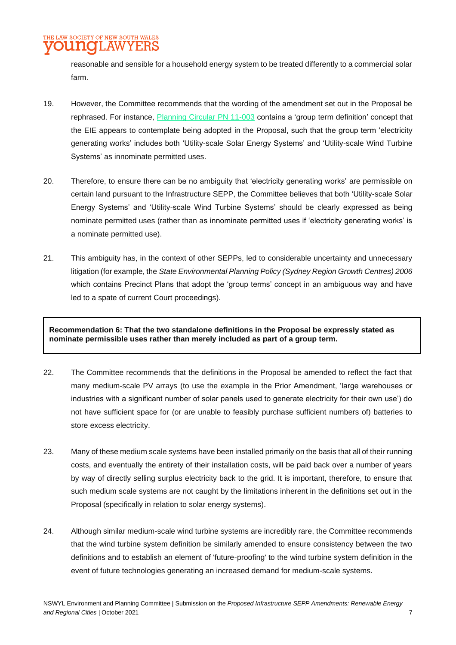### THE LAW SOCIETY OF NEW SOUTH WALES **OUNGLAWYERS**

reasonable and sensible for a household energy system to be treated differently to a commercial solar farm.

- 19. However, the Committee recommends that the wording of the amendment set out in the Proposal be rephrased. For instance, [Planning Circular PN 11-003](https://www.planning.nsw.gov.au/-/media/Files/DPE/Practice-notes/preparing-leps-using-the-standard-instrument-definitions-2011-03-10.pdf?la=en) contains a 'group term definition' concept that the EIE appears to contemplate being adopted in the Proposal, such that the group term 'electricity generating works' includes both 'Utility-scale Solar Energy Systems' and 'Utility-scale Wind Turbine Systems' as innominate permitted uses.
- 20. Therefore, to ensure there can be no ambiguity that 'electricity generating works' are permissible on certain land pursuant to the Infrastructure SEPP, the Committee believes that both 'Utility-scale Solar Energy Systems' and 'Utility-scale Wind Turbine Systems' should be clearly expressed as being nominate permitted uses (rather than as innominate permitted uses if 'electricity generating works' is a nominate permitted use).
- 21. This ambiguity has, in the context of other SEPPs, led to considerable uncertainty and unnecessary litigation (for example, the *State Environmental Planning Policy (Sydney Region Growth Centres) 2006*  which contains Precinct Plans that adopt the 'group terms' concept in an ambiguous way and have led to a spate of current Court proceedings).

**Recommendation 6: That the two standalone definitions in the Proposal be expressly stated as nominate permissible uses rather than merely included as part of a group term.**

- 22. The Committee recommends that the definitions in the Proposal be amended to reflect the fact that many medium-scale PV arrays (to use the example in the Prior Amendment, 'large warehouses or industries with a significant number of solar panels used to generate electricity for their own use') do not have sufficient space for (or are unable to feasibly purchase sufficient numbers of) batteries to store excess electricity.
- 23. Many of these medium scale systems have been installed primarily on the basis that all of their running costs, and eventually the entirety of their installation costs, will be paid back over a number of years by way of directly selling surplus electricity back to the grid. It is important, therefore, to ensure that such medium scale systems are not caught by the limitations inherent in the definitions set out in the Proposal (specifically in relation to solar energy systems).
- 24. Although similar medium-scale wind turbine systems are incredibly rare, the Committee recommends that the wind turbine system definition be similarly amended to ensure consistency between the two definitions and to establish an element of 'future-proofing' to the wind turbine system definition in the event of future technologies generating an increased demand for medium-scale systems.